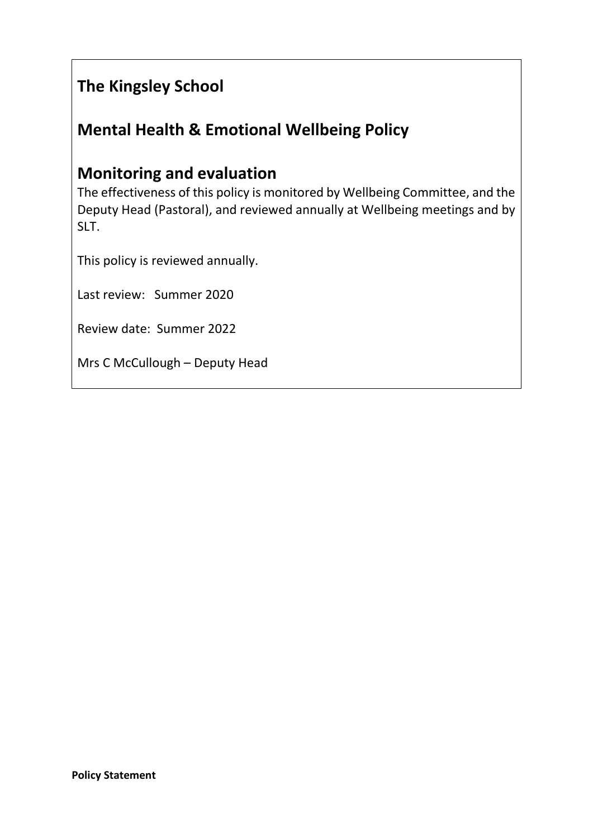# **The Kingsley School**

## **Mental Health & Emotional Wellbeing Policy**

## **Monitoring and evaluation**

The effectiveness of this policy is monitored by Wellbeing Committee, and the Deputy Head (Pastoral), and reviewed annually at Wellbeing meetings and by SLT.

This policy is reviewed annually.

Last review: Summer 2020

Review date: Summer 2022

Mrs C McCullough – Deputy Head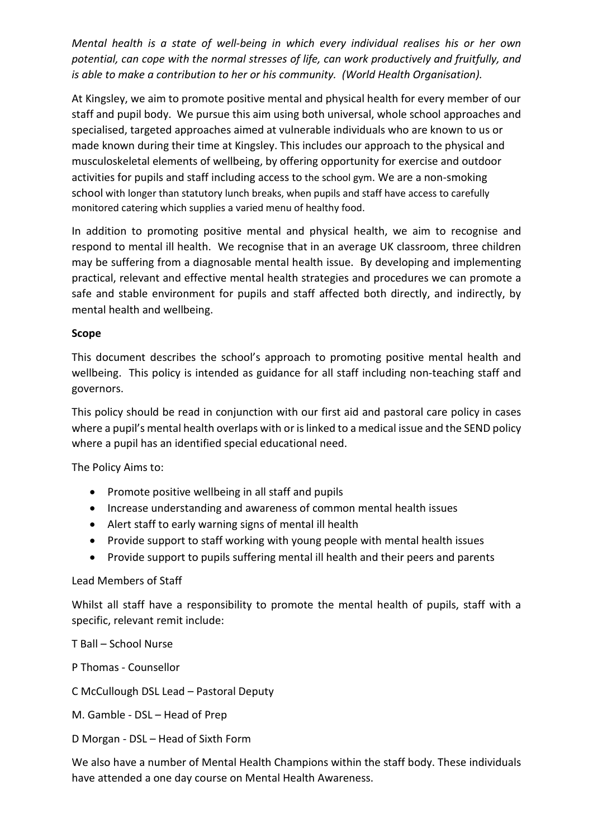*Mental health is a state of well-being in which every individual realises his or her own potential, can cope with the normal stresses of life, can work productively and fruitfully, and is able to make a contribution to her or his community. (World Health Organisation).*

At Kingsley, we aim to promote positive mental and physical health for every member of our staff and pupil body. We pursue this aim using both universal, whole school approaches and specialised, targeted approaches aimed at vulnerable individuals who are known to us or made known during their time at Kingsley. This includes our approach to the physical and musculoskeletal elements of wellbeing, by offering opportunity for exercise and outdoor activities for pupils and staff including access to the school gym. We are a non-smoking school with longer than statutory lunch breaks, when pupils and staff have access to carefully monitored catering which supplies a varied menu of healthy food.

In addition to promoting positive mental and physical health, we aim to recognise and respond to mental ill health. We recognise that in an average UK classroom, three children may be suffering from a diagnosable mental health issue. By developing and implementing practical, relevant and effective mental health strategies and procedures we can promote a safe and stable environment for pupils and staff affected both directly, and indirectly, by mental health and wellbeing.

#### **Scope**

This document describes the school's approach to promoting positive mental health and wellbeing. This policy is intended as guidance for all staff including non-teaching staff and governors.

This policy should be read in conjunction with our first aid and pastoral care policy in cases where a pupil's mental health overlaps with or is linked to a medical issue and the SEND policy where a pupil has an identified special educational need.

The Policy Aims to:

- Promote positive wellbeing in all staff and pupils
- Increase understanding and awareness of common mental health issues
- Alert staff to early warning signs of mental ill health
- Provide support to staff working with young people with mental health issues
- Provide support to pupils suffering mental ill health and their peers and parents

#### Lead Members of Staff

Whilst all staff have a responsibility to promote the mental health of pupils, staff with a specific, relevant remit include:

T Ball – School Nurse

P Thomas - Counsellor

C McCullough DSL Lead – Pastoral Deputy

M. Gamble - DSL – Head of Prep

D Morgan - DSL – Head of Sixth Form

We also have a number of Mental Health Champions within the staff body. These individuals have attended a one day course on Mental Health Awareness.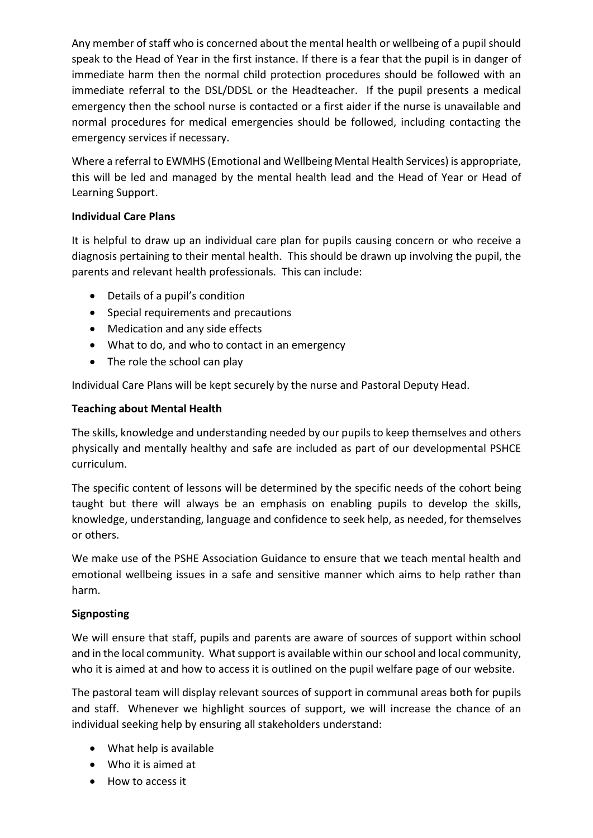Any member of staff who is concerned about the mental health or wellbeing of a pupil should speak to the Head of Year in the first instance. If there is a fear that the pupil is in danger of immediate harm then the normal child protection procedures should be followed with an immediate referral to the DSL/DDSL or the Headteacher. If the pupil presents a medical emergency then the school nurse is contacted or a first aider if the nurse is unavailable and normal procedures for medical emergencies should be followed, including contacting the emergency services if necessary.

Where a referral to EWMHS (Emotional and Wellbeing Mental Health Services) is appropriate, this will be led and managed by the mental health lead and the Head of Year or Head of Learning Support.

## **Individual Care Plans**

It is helpful to draw up an individual care plan for pupils causing concern or who receive a diagnosis pertaining to their mental health. This should be drawn up involving the pupil, the parents and relevant health professionals. This can include:

- Details of a pupil's condition
- Special requirements and precautions
- Medication and any side effects
- What to do, and who to contact in an emergency
- The role the school can play

Individual Care Plans will be kept securely by the nurse and Pastoral Deputy Head.

## **Teaching about Mental Health**

The skills, knowledge and understanding needed by our pupils to keep themselves and others physically and mentally healthy and safe are included as part of our developmental PSHCE curriculum.

The specific content of lessons will be determined by the specific needs of the cohort being taught but there will always be an emphasis on enabling pupils to develop the skills, knowledge, understanding, language and confidence to seek help, as needed, for themselves or others.

We make use of the PSHE Association Guidance to ensure that we teach mental health and emotional wellbeing issues in a safe and sensitive manner which aims to help rather than harm.

## **Signposting**

We will ensure that staff, pupils and parents are aware of sources of support within school and in the local community. What support is available within our school and local community, who it is aimed at and how to access it is outlined on the pupil welfare page of our website.

The pastoral team will display relevant sources of support in communal areas both for pupils and staff. Whenever we highlight sources of support, we will increase the chance of an individual seeking help by ensuring all stakeholders understand:

- What help is available
- Who it is aimed at
- How to access it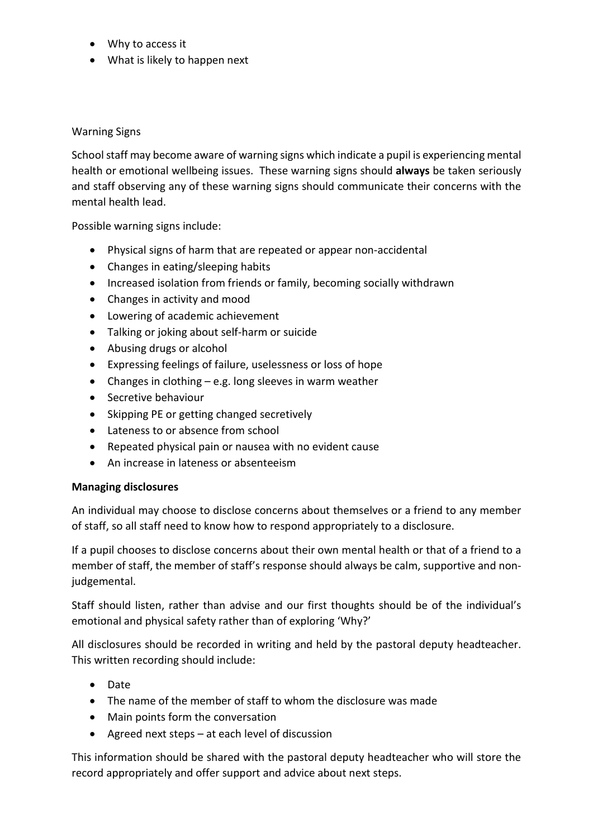- Why to access it
- What is likely to happen next

#### Warning Signs

School staff may become aware of warning signs which indicate a pupil is experiencing mental health or emotional wellbeing issues. These warning signs should **always** be taken seriously and staff observing any of these warning signs should communicate their concerns with the mental health lead.

Possible warning signs include:

- Physical signs of harm that are repeated or appear non-accidental
- Changes in eating/sleeping habits
- Increased isolation from friends or family, becoming socially withdrawn
- Changes in activity and mood
- Lowering of academic achievement
- Talking or joking about self-harm or suicide
- Abusing drugs or alcohol
- Expressing feelings of failure, uselessness or loss of hope
- Changes in clothing e.g. long sleeves in warm weather
- Secretive behaviour
- Skipping PE or getting changed secretively
- Lateness to or absence from school
- Repeated physical pain or nausea with no evident cause
- An increase in lateness or absenteeism

#### **Managing disclosures**

An individual may choose to disclose concerns about themselves or a friend to any member of staff, so all staff need to know how to respond appropriately to a disclosure.

If a pupil chooses to disclose concerns about their own mental health or that of a friend to a member of staff, the member of staff's response should always be calm, supportive and nonjudgemental.

Staff should listen, rather than advise and our first thoughts should be of the individual's emotional and physical safety rather than of exploring 'Why?'

All disclosures should be recorded in writing and held by the pastoral deputy headteacher. This written recording should include:

- Date
- The name of the member of staff to whom the disclosure was made
- Main points form the conversation
- Agreed next steps at each level of discussion

This information should be shared with the pastoral deputy headteacher who will store the record appropriately and offer support and advice about next steps.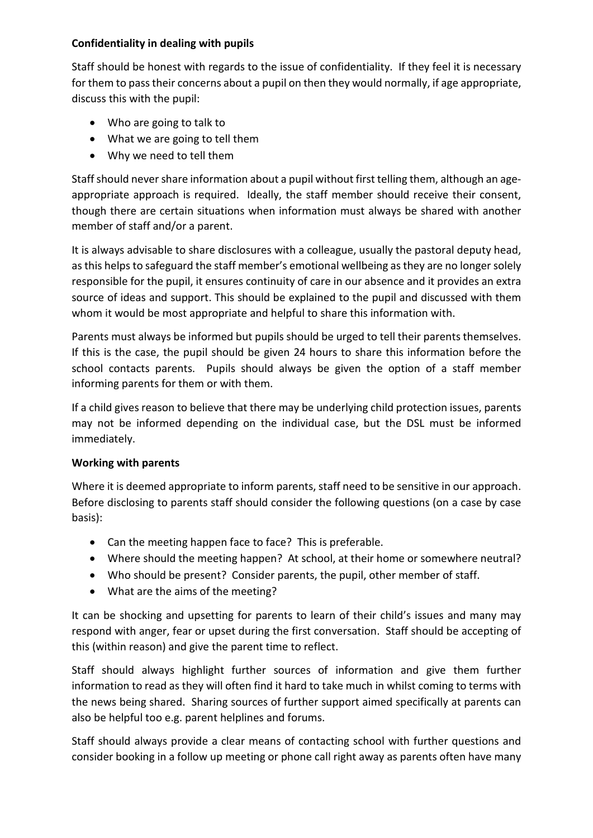#### **Confidentiality in dealing with pupils**

Staff should be honest with regards to the issue of confidentiality. If they feel it is necessary for them to pass their concerns about a pupil on then they would normally, if age appropriate, discuss this with the pupil:

- Who are going to talk to
- What we are going to tell them
- Why we need to tell them

Staff should never share information about a pupil without first telling them, although an ageappropriate approach is required. Ideally, the staff member should receive their consent, though there are certain situations when information must always be shared with another member of staff and/or a parent.

It is always advisable to share disclosures with a colleague, usually the pastoral deputy head, as this helps to safeguard the staff member's emotional wellbeing as they are no longer solely responsible for the pupil, it ensures continuity of care in our absence and it provides an extra source of ideas and support. This should be explained to the pupil and discussed with them whom it would be most appropriate and helpful to share this information with.

Parents must always be informed but pupils should be urged to tell their parents themselves. If this is the case, the pupil should be given 24 hours to share this information before the school contacts parents. Pupils should always be given the option of a staff member informing parents for them or with them.

If a child gives reason to believe that there may be underlying child protection issues, parents may not be informed depending on the individual case, but the DSL must be informed immediately.

#### **Working with parents**

Where it is deemed appropriate to inform parents, staff need to be sensitive in our approach. Before disclosing to parents staff should consider the following questions (on a case by case basis):

- Can the meeting happen face to face? This is preferable.
- Where should the meeting happen? At school, at their home or somewhere neutral?
- Who should be present? Consider parents, the pupil, other member of staff.
- What are the aims of the meeting?

It can be shocking and upsetting for parents to learn of their child's issues and many may respond with anger, fear or upset during the first conversation. Staff should be accepting of this (within reason) and give the parent time to reflect.

Staff should always highlight further sources of information and give them further information to read as they will often find it hard to take much in whilst coming to terms with the news being shared. Sharing sources of further support aimed specifically at parents can also be helpful too e.g. parent helplines and forums.

Staff should always provide a clear means of contacting school with further questions and consider booking in a follow up meeting or phone call right away as parents often have many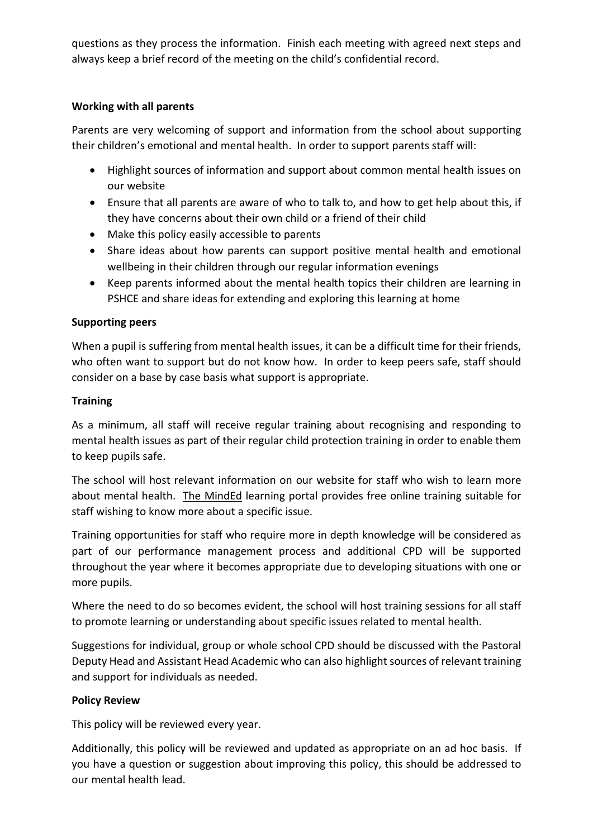questions as they process the information. Finish each meeting with agreed next steps and always keep a brief record of the meeting on the child's confidential record.

### **Working with all parents**

Parents are very welcoming of support and information from the school about supporting their children's emotional and mental health. In order to support parents staff will:

- Highlight sources of information and support about common mental health issues on our website
- Ensure that all parents are aware of who to talk to, and how to get help about this, if they have concerns about their own child or a friend of their child
- Make this policy easily accessible to parents
- Share ideas about how parents can support positive mental health and emotional wellbeing in their children through our regular information evenings
- Keep parents informed about the mental health topics their children are learning in PSHCE and share ideas for extending and exploring this learning at home

## **Supporting peers**

When a pupil is suffering from mental health issues, it can be a difficult time for their friends, who often want to support but do not know how. In order to keep peers safe, staff should consider on a base by case basis what support is appropriate.

## **Training**

As a minimum, all staff will receive regular training about recognising and responding to mental health issues as part of their regular child protection training in order to enable them to keep pupils safe.

The school will host relevant information on our website for staff who wish to learn more about mental health. The MindEd learning portal provides free online training suitable for staff wishing to know more about a specific issue.

Training opportunities for staff who require more in depth knowledge will be considered as part of our performance management process and additional CPD will be supported throughout the year where it becomes appropriate due to developing situations with one or more pupils.

Where the need to do so becomes evident, the school will host training sessions for all staff to promote learning or understanding about specific issues related to mental health.

Suggestions for individual, group or whole school CPD should be discussed with the Pastoral Deputy Head and Assistant Head Academic who can also highlight sources of relevant training and support for individuals as needed.

## **Policy Review**

This policy will be reviewed every year.

Additionally, this policy will be reviewed and updated as appropriate on an ad hoc basis. If you have a question or suggestion about improving this policy, this should be addressed to our mental health lead.